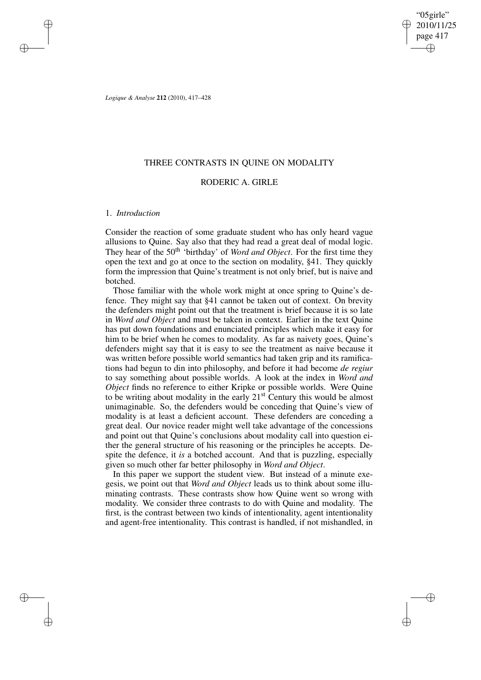"05girle" 2010/11/25 page 417 ✐ ✐

✐

✐

*Logique & Analyse* **212** (2010), 417–428

# THREE CONTRASTS IN QUINE ON MODALITY

# RODERIC A. GIRLE

### 1. *Introduction*

✐

✐

✐

✐

Consider the reaction of some graduate student who has only heard vague allusions to Quine. Say also that they had read a great deal of modal logic. They hear of the 50<sup>th</sup> 'birthday' of *Word and Object*. For the first time they open the text and go at once to the section on modality, §41. They quickly form the impression that Quine's treatment is not only brief, but is naive and botched.

Those familiar with the whole work might at once spring to Quine's defence. They might say that §41 cannot be taken out of context. On brevity the defenders might point out that the treatment is brief because it is so late in *Word and Object* and must be taken in context. Earlier in the text Quine has put down foundations and enunciated principles which make it easy for him to be brief when he comes to modality. As far as naivety goes, Quine's defenders might say that it is easy to see the treatment as naive because it was written before possible world semantics had taken grip and its ramifications had begun to din into philosophy, and before it had become *de regiur* to say something about possible worlds. A look at the index in *Word and Object* finds no reference to either Kripke or possible worlds. Were Quine to be writing about modality in the early  $21<sup>st</sup>$  Century this would be almost unimaginable. So, the defenders would be conceding that Quine's view of modality is at least a deficient account. These defenders are conceding a great deal. Our novice reader might well take advantage of the concessions and point out that Quine's conclusions about modality call into question either the general structure of his reasoning or the principles he accepts. Despite the defence, it *is* a botched account. And that is puzzling, especially given so much other far better philosophy in *Word and Object*.

In this paper we support the student view. But instead of a minute exegesis, we point out that *Word and Object* leads us to think about some illuminating contrasts. These contrasts show how Quine went so wrong with modality. We consider three contrasts to do with Quine and modality. The first, is the contrast between two kinds of intentionality, agent intentionality and agent-free intentionality. This contrast is handled, if not mishandled, in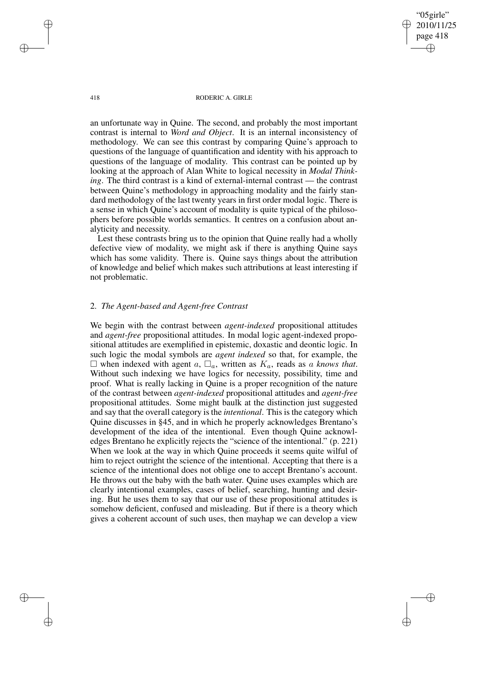418 RODERIC A. GIRLE

"05girle" 2010/11/25 page 418

✐

✐

✐

✐

an unfortunate way in Quine. The second, and probably the most important contrast is internal to *Word and Object*. It is an internal inconsistency of methodology. We can see this contrast by comparing Quine's approach to questions of the language of quantification and identity with his approach to questions of the language of modality. This contrast can be pointed up by looking at the approach of Alan White to logical necessity in *Modal Thinking*. The third contrast is a kind of external-internal contrast — the contrast between Quine's methodology in approaching modality and the fairly standard methodology of the last twenty years in first order modal logic. There is a sense in which Quine's account of modality is quite typical of the philosophers before possible worlds semantics. It centres on a confusion about analyticity and necessity.

Lest these contrasts bring us to the opinion that Quine really had a wholly defective view of modality, we might ask if there is anything Quine says which has some validity. There is. Quine says things about the attribution of knowledge and belief which makes such attributions at least interesting if not problematic.

# 2. *The Agent-based and Agent-free Contrast*

We begin with the contrast between *agent-indexed* propositional attitudes and *agent-free* propositional attitudes. In modal logic agent-indexed propositional attitudes are exemplified in epistemic, doxastic and deontic logic. In such logic the modal symbols are *agent indexed* so that, for example, the  $\square$  when indexed with agent a,  $\square_a$ , written as  $K_a$ , reads as a *knows that*. Without such indexing we have logics for necessity, possibility, time and proof. What is really lacking in Quine is a proper recognition of the nature of the contrast between *agent-indexed* propositional attitudes and *agent-free* propositional attitudes. Some might baulk at the distinction just suggested and say that the overall category is the *intentional*. This is the category which Quine discusses in §45, and in which he properly acknowledges Brentano's development of the idea of the intentional. Even though Quine acknowledges Brentano he explicitly rejects the "science of the intentional." (p. 221) When we look at the way in which Quine proceeds it seems quite wilful of him to reject outright the science of the intentional. Accepting that there is a science of the intentional does not oblige one to accept Brentano's account. He throws out the baby with the bath water. Quine uses examples which are clearly intentional examples, cases of belief, searching, hunting and desiring. But he uses them to say that our use of these propositional attitudes is somehow deficient, confused and misleading. But if there is a theory which gives a coherent account of such uses, then mayhap we can develop a view

✐

✐

✐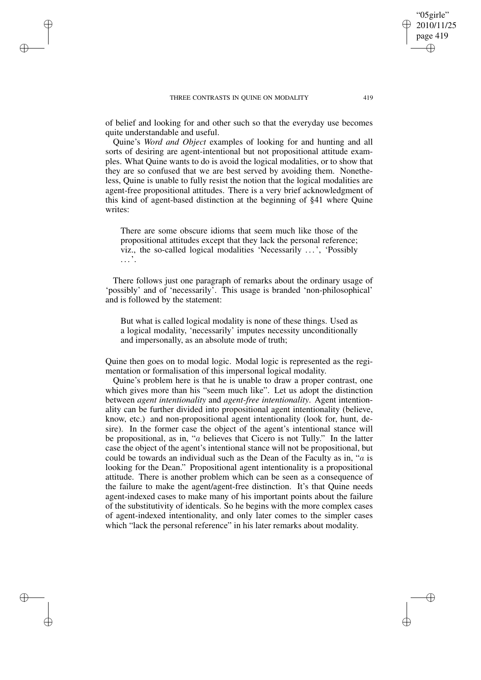✐

✐

✐

✐

of belief and looking for and other such so that the everyday use becomes quite understandable and useful.

Quine's *Word and Object* examples of looking for and hunting and all sorts of desiring are agent-intentional but not propositional attitude examples. What Quine wants to do is avoid the logical modalities, or to show that they are so confused that we are best served by avoiding them. Nonetheless, Quine is unable to fully resist the notion that the logical modalities are agent-free propositional attitudes. There is a very brief acknowledgment of this kind of agent-based distinction at the beginning of §41 where Quine writes:

There are some obscure idioms that seem much like those of the propositional attitudes except that they lack the personal reference; viz., the so-called logical modalities 'Necessarily . . .', 'Possibly . . .'.

There follows just one paragraph of remarks about the ordinary usage of 'possibly' and of 'necessarily'. This usage is branded 'non-philosophical' and is followed by the statement:

But what is called logical modality is none of these things. Used as a logical modality, 'necessarily' imputes necessity unconditionally and impersonally, as an absolute mode of truth;

Quine then goes on to modal logic. Modal logic is represented as the regimentation or formalisation of this impersonal logical modality.

Quine's problem here is that he is unable to draw a proper contrast, one which gives more than his "seem much like". Let us adopt the distinction between *agent intentionality* and *agent-free intentionality*. Agent intentionality can be further divided into propositional agent intentionality (believe, know, etc.) and non-propositional agent intentionality (look for, hunt, desire). In the former case the object of the agent's intentional stance will be propositional, as in, "a believes that Cicero is not Tully." In the latter case the object of the agent's intentional stance will not be propositional, but could be towards an individual such as the Dean of the Faculty as in, " $a$  is looking for the Dean." Propositional agent intentionality is a propositional attitude. There is another problem which can be seen as a consequence of the failure to make the agent/agent-free distinction. It's that Quine needs agent-indexed cases to make many of his important points about the failure of the substitutivity of identicals. So he begins with the more complex cases of agent-indexed intentionality, and only later comes to the simpler cases which "lack the personal reference" in his later remarks about modality.

"05girle" 2010/11/25 page 419

✐

✐

✐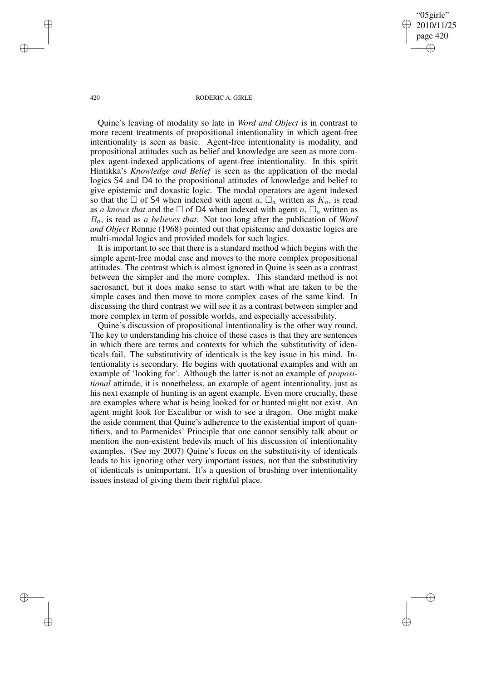"05girle" 2010/11/25 page 420 ✐ ✐

✐

✐

#### 420 RODERIC A. GIRLE

Quine's leaving of modality so late in *Word and Object* is in contrast to more recent treatments of propositional intentionality in which agent-free intentionality is seen as basic. Agent-free intentionality is modality, and propositional attitudes such as belief and knowledge are seen as more complex agent-indexed applications of agent-free intentionality. In this spirit Hintikka's *Knowledge and Belief* is seen as the application of the modal logics S4 and D4 to the propositional attitudes of knowledge and belief to give epistemic and doxastic logic. The modal operators are agent indexed so that the  $\Box$  of S4 when indexed with agent a,  $\Box_a$  written as  $K_a$ , is read as *a knows that* and the  $\Box$  of D4 when indexed with agent *a*,  $\Box$ <sub>*a*</sub> written as Ba, is read as a *believes that*. Not too long after the publication of *Word and Object* Rennie (1968) pointed out that epistemic and doxastic logics are multi-modal logics and provided models for such logics.

It is important to see that there is a standard method which begins with the simple agent-free modal case and moves to the more complex propositional attitudes. The contrast which is almost ignored in Quine is seen as a contrast between the simpler and the more complex. This standard method is not sacrosanct, but it does make sense to start with what are taken to be the simple cases and then move to more complex cases of the same kind. In discussing the third contrast we will see it as a contrast between simpler and more complex in term of possible worlds, and especially accessibility.

Quine's discussion of propositional intentionality is the other way round. The key to understanding his choice of these cases is that they are sentences in which there are terms and contexts for which the substitutivity of identicals fail. The substitutivity of identicals is the key issue in his mind. Intentionality is secondary. He begins with quotational examples and with an example of 'looking for'. Although the latter is not an example of *propositional* attitude, it is nonetheless, an example of agent intentionality, just as his next example of hunting is an agent example. Even more crucially, these are examples where what is being looked for or hunted might not exist. An agent might look for Excalibur or wish to see a dragon. One might make the aside comment that Quine's adherence to the existential import of quantifiers, and to Parmenides' Principle that one cannot sensibly talk about or mention the non-existent bedevils much of his discussion of intentionality examples. (See my 2007) Quine's focus on the substitutivity of identicals leads to his ignoring other very important issues, not that the substitutivity of identicals is unimportant. It's a question of brushing over intentionality issues instead of giving them their rightful place.

✐

✐

✐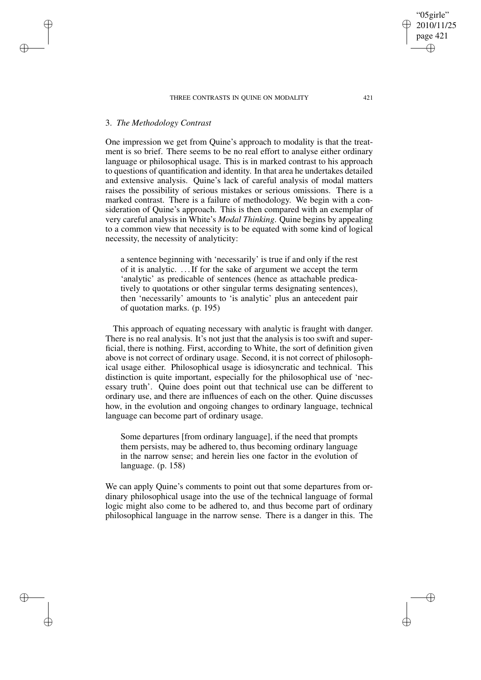# 3. *The Methodology Contrast*

✐

✐

✐

✐

One impression we get from Quine's approach to modality is that the treatment is so brief. There seems to be no real effort to analyse either ordinary language or philosophical usage. This is in marked contrast to his approach to questions of quantification and identity. In that area he undertakes detailed and extensive analysis. Quine's lack of careful analysis of modal matters raises the possibility of serious mistakes or serious omissions. There is a marked contrast. There is a failure of methodology. We begin with a consideration of Quine's approach. This is then compared with an exemplar of very careful analysis in White's *Modal Thinking*. Quine begins by appealing to a common view that necessity is to be equated with some kind of logical necessity, the necessity of analyticity:

a sentence beginning with 'necessarily' is true if and only if the rest of it is analytic. . . .If for the sake of argument we accept the term 'analytic' as predicable of sentences (hence as attachable predicatively to quotations or other singular terms designating sentences), then 'necessarily' amounts to 'is analytic' plus an antecedent pair of quotation marks. (p. 195)

This approach of equating necessary with analytic is fraught with danger. There is no real analysis. It's not just that the analysis is too swift and superficial, there is nothing. First, according to White, the sort of definition given above is not correct of ordinary usage. Second, it is not correct of philosophical usage either. Philosophical usage is idiosyncratic and technical. This distinction is quite important, especially for the philosophical use of 'necessary truth'. Quine does point out that technical use can be different to ordinary use, and there are influences of each on the other. Quine discusses how, in the evolution and ongoing changes to ordinary language, technical language can become part of ordinary usage.

Some departures [from ordinary language], if the need that prompts them persists, may be adhered to, thus becoming ordinary language in the narrow sense; and herein lies one factor in the evolution of language. (p. 158)

We can apply Quine's comments to point out that some departures from ordinary philosophical usage into the use of the technical language of formal logic might also come to be adhered to, and thus become part of ordinary philosophical language in the narrow sense. There is a danger in this. The

"05girle" 2010/11/25 page 421

✐

✐

✐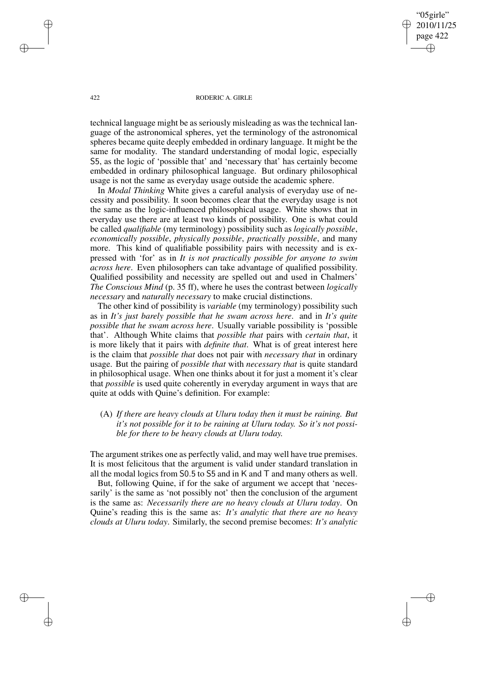"05girle" 2010/11/25 page 422 ✐ ✐

✐

✐

#### 422 RODERIC A. GIRLE

technical language might be as seriously misleading as was the technical language of the astronomical spheres, yet the terminology of the astronomical spheres became quite deeply embedded in ordinary language. It might be the same for modality. The standard understanding of modal logic, especially S5, as the logic of 'possible that' and 'necessary that' has certainly become embedded in ordinary philosophical language. But ordinary philosophical usage is not the same as everyday usage outside the academic sphere.

In *Modal Thinking* White gives a careful analysis of everyday use of necessity and possibility. It soon becomes clear that the everyday usage is not the same as the logic-influenced philosophical usage. White shows that in everyday use there are at least two kinds of possibility. One is what could be called *qualifiable* (my terminology) possibility such as *logically possible*, *economically possible*, *physically possible*, *practically possible*, and many more. This kind of qualifiable possibility pairs with necessity and is expressed with 'for' as in *It is not practically possible for anyone to swim across here*. Even philosophers can take advantage of qualified possibility. Qualified possibility and necessity are spelled out and used in Chalmers' *The Conscious Mind* (p. 35 ff), where he uses the contrast between *logically necessary* and *naturally necessary* to make crucial distinctions.

The other kind of possibility is *variable* (my terminology) possibility such as in *It's just barely possible that he swam across here*. and in *It's quite possible that he swam across here*. Usually variable possibility is 'possible that'. Although White claims that *possible that* pairs with *certain that*, it is more likely that it pairs with *definite that*. What is of great interest here is the claim that *possible that* does not pair with *necessary that* in ordinary usage. But the pairing of *possible that* with *necessary that* is quite standard in philosophical usage. When one thinks about it for just a moment it's clear that *possible* is used quite coherently in everyday argument in ways that are quite at odds with Quine's definition. For example:

(A) *If there are heavy clouds at Uluru today then it must be raining. But it's not possible for it to be raining at Uluru today. So it's not possible for there to be heavy clouds at Uluru today.*

The argument strikes one as perfectly valid, and may well have true premises. It is most felicitous that the argument is valid under standard translation in all the modal logics from S0.5 to S5 and in K and T and many others as well.

But, following Quine, if for the sake of argument we accept that 'necessarily' is the same as 'not possibly not' then the conclusion of the argument is the same as: *Necessarily there are no heavy clouds at Uluru today*. On Quine's reading this is the same as: *It's analytic that there are no heavy clouds at Uluru today*. Similarly, the second premise becomes: *It's analytic*

✐

✐

✐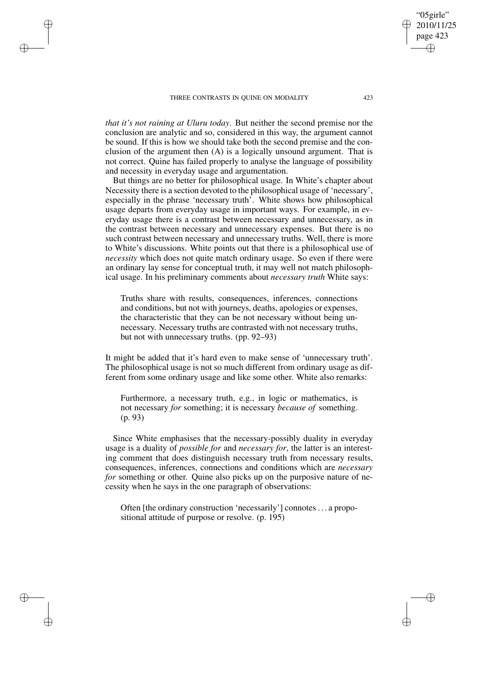✐

✐

✐

✐

*that it's not raining at Uluru today*. But neither the second premise nor the conclusion are analytic and so, considered in this way, the argument cannot be sound. If this is how we should take both the second premise and the conclusion of the argument then (A) is a logically unsound argument. That is not correct. Quine has failed properly to analyse the language of possibility and necessity in everyday usage and argumentation.

But things are no better for philosophical usage. In White's chapter about Necessity there is a section devoted to the philosophical usage of 'necessary', especially in the phrase 'necessary truth'. White shows how philosophical usage departs from everyday usage in important ways. For example, in everyday usage there is a contrast between necessary and unnecessary, as in the contrast between necessary and unnecessary expenses. But there is no such contrast between necessary and unnecessary truths. Well, there is more to White's discussions. White points out that there is a philosophical use of *necessity* which does not quite match ordinary usage. So even if there were an ordinary lay sense for conceptual truth, it may well not match philosophical usage. In his preliminary comments about *necessary truth* White says:

Truths share with results, consequences, inferences, connections and conditions, but not with journeys, deaths, apologies or expenses, the characteristic that they can be not necessary without being unnecessary. Necessary truths are contrasted with not necessary truths, but not with unnecessary truths. (pp. 92–93)

It might be added that it's hard even to make sense of 'unnecessary truth'. The philosophical usage is not so much different from ordinary usage as different from some ordinary usage and like some other. White also remarks:

Furthermore, a necessary truth, e.g., in logic or mathematics, is not necessary *for* something; it is necessary *because of* something. (p. 93)

Since White emphasises that the necessary-possibly duality in everyday usage is a duality of *possible for* and *necessary for*, the latter is an interesting comment that does distinguish necessary truth from necessary results, consequences, inferences, connections and conditions which are *necessary for* something or other. Quine also picks up on the purposive nature of necessity when he says in the one paragraph of observations:

Often [the ordinary construction 'necessarily'] connotes . . . a propositional attitude of purpose or resolve. (p. 195)

"05girle" 2010/11/25 page 423

✐

✐

✐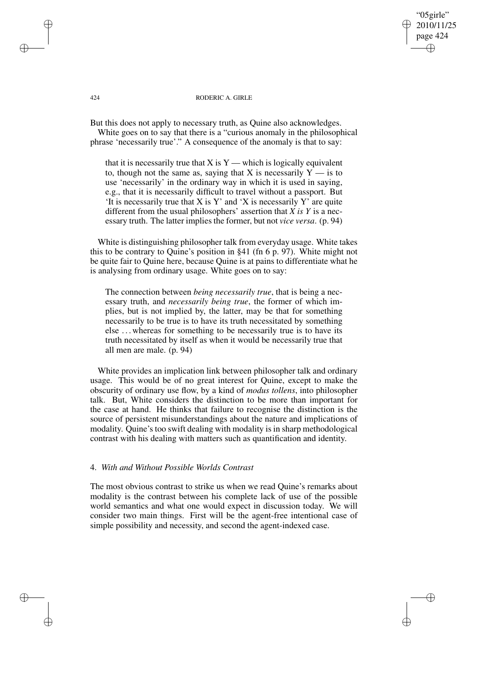### "05girle" 2010/11/25 page 424 ✐ ✐

✐

✐

### 424 RODERIC A. GIRLE

But this does not apply to necessary truth, as Quine also acknowledges. White goes on to say that there is a "curious anomaly in the philosophical phrase 'necessarily true'." A consequence of the anomaly is that to say:

that it is necessarily true that  $X$  is  $Y$  — which is logically equivalent to, though not the same as, saying that X is necessarily  $Y -$  is to use 'necessarily' in the ordinary way in which it is used in saying, e.g., that it is necessarily difficult to travel without a passport. But 'It is necessarily true that X is Y' and 'X is necessarily Y' are quite different from the usual philosophers' assertion that *X is Y* is a necessary truth. The latter implies the former, but not *vice versa*. (p. 94)

White is distinguishing philosopher talk from everyday usage. White takes this to be contrary to Quine's position in §41 (fn 6 p. 97). White might not be quite fair to Quine here, because Quine is at pains to differentiate what he is analysing from ordinary usage. White goes on to say:

The connection between *being necessarily true*, that is being a necessary truth, and *necessarily being true*, the former of which implies, but is not implied by, the latter, may be that for something necessarily to be true is to have its truth necessitated by something else . . . whereas for something to be necessarily true is to have its truth necessitated by itself as when it would be necessarily true that all men are male. (p. 94)

White provides an implication link between philosopher talk and ordinary usage. This would be of no great interest for Quine, except to make the obscurity of ordinary use flow, by a kind of *modus tollens*, into philosopher talk. But, White considers the distinction to be more than important for the case at hand. He thinks that failure to recognise the distinction is the source of persistent misunderstandings about the nature and implications of modality. Quine's too swift dealing with modality is in sharp methodological contrast with his dealing with matters such as quantification and identity.

### 4. *With and Without Possible Worlds Contrast*

The most obvious contrast to strike us when we read Quine's remarks about modality is the contrast between his complete lack of use of the possible world semantics and what one would expect in discussion today. We will consider two main things. First will be the agent-free intentional case of simple possibility and necessity, and second the agent-indexed case.

✐

✐

✐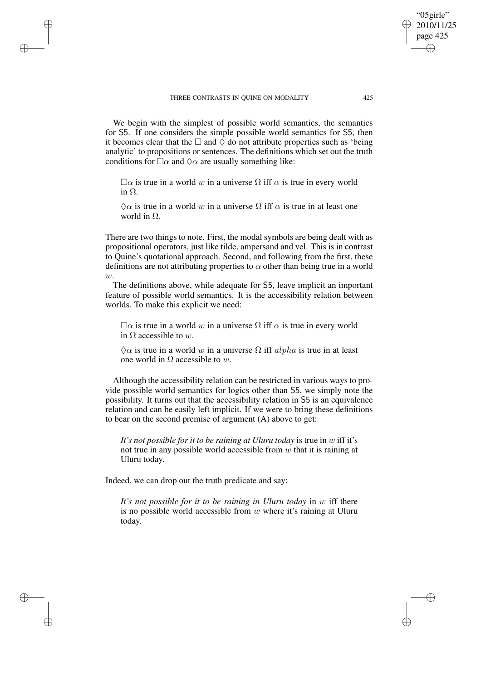✐

✐

✐

✐

We begin with the simplest of possible world semantics, the semantics for S5. If one considers the simple possible world semantics for S5, then it becomes clear that the  $\Box$  and  $\Diamond$  do not attribute properties such as 'being analytic' to propositions or sentences. The definitions which set out the truth conditions for  $\Box \alpha$  and  $\Diamond \alpha$  are usually something like:

 $\Box \alpha$  is true in a world w in a universe  $\Omega$  iff  $\alpha$  is true in every world in  $\Omega$ .

 $\Diamond \alpha$  is true in a world w in a universe  $\Omega$  iff  $\alpha$  is true in at least one world in  $\Omega$ .

There are two things to note. First, the modal symbols are being dealt with as propositional operators, just like tilde, ampersand and vel. This is in contrast to Quine's quotational approach. Second, and following from the first, these definitions are not attributing properties to  $\alpha$  other than being true in a world  $w$ .

The definitions above, while adequate for S5, leave implicit an important feature of possible world semantics. It is the accessibility relation between worlds. To make this explicit we need:

 $\Box$  $\alpha$  is true in a world w in a universe  $\Omega$  iff  $\alpha$  is true in every world in  $\Omega$  accessible to w.

 $\Diamond \alpha$  is true in a world w in a universe  $\Omega$  iff alpha is true in at least one world in  $\Omega$  accessible to w.

Although the accessibility relation can be restricted in various ways to provide possible world semantics for logics other than S5, we simply note the possibility. It turns out that the accessibility relation in S5 is an equivalence relation and can be easily left implicit. If we were to bring these definitions to bear on the second premise of argument (A) above to get:

*It's not possible for it to be raining at Uluru today* is true in w iff it's not true in any possible world accessible from  $w$  that it is raining at Uluru today.

Indeed, we can drop out the truth predicate and say:

*It's not possible for it to be raining in Uluru today* in w iff there is no possible world accessible from  $w$  where it's raining at Uluru today.

"05girle" 2010/11/25 page 425

✐

✐

✐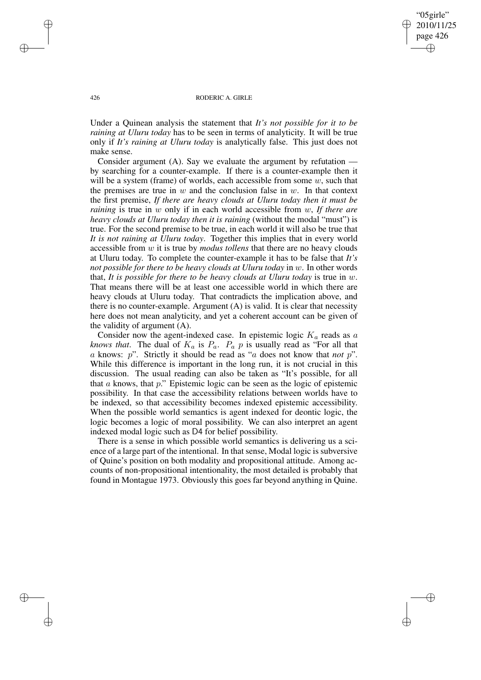"05girle" 2010/11/25 page 426 ✐ ✐

✐

✐

### 426 RODERIC A. GIRLE

Under a Quinean analysis the statement that *It's not possible for it to be raining at Uluru today* has to be seen in terms of analyticity. It will be true only if *It's raining at Uluru today* is analytically false. This just does not make sense.

Consider argument (A). Say we evaluate the argument by refutation by searching for a counter-example. If there is a counter-example then it will be a system (frame) of worlds, each accessible from some  $w$ , such that the premises are true in  $w$  and the conclusion false in  $w$ . In that context the first premise, *If there are heavy clouds at Uluru today then it must be raining* is true in w only if in each world accessible from w, *If there are heavy clouds at Uluru today then it is raining* (without the modal "must") is true. For the second premise to be true, in each world it will also be true that *It is not raining at Uluru today*. Together this implies that in every world accessible from w it is true by *modus tollens* that there are no heavy clouds at Uluru today. To complete the counter-example it has to be false that *It's not possible for there to be heavy clouds at Uluru today* in w. In other words that, *It is possible for there to be heavy clouds at Uluru today* is true in w. That means there will be at least one accessible world in which there are heavy clouds at Uluru today. That contradicts the implication above, and there is no counter-example. Argument (A) is valid. It is clear that necessity here does not mean analyticity, and yet a coherent account can be given of the validity of argument (A).

Consider now the agent-indexed case. In epistemic logic  $K_a$  reads as a *knows that.* The dual of  $K_a$  is  $P_a$ .  $P_a$   $p$  is usually read as "For all that a knows: p". Strictly it should be read as "a does not know that *not* p". While this difference is important in the long run, it is not crucial in this discussion. The usual reading can also be taken as "It's possible, for all that  $a$  knows, that  $p$ ." Epistemic logic can be seen as the logic of epistemic possibility. In that case the accessibility relations between worlds have to be indexed, so that accessibility becomes indexed epistemic accessibility. When the possible world semantics is agent indexed for deontic logic, the logic becomes a logic of moral possibility. We can also interpret an agent indexed modal logic such as D4 for belief possibility.

There is a sense in which possible world semantics is delivering us a science of a large part of the intentional. In that sense, Modal logic is subversive of Quine's position on both modality and propositional attitude. Among accounts of non-propositional intentionality, the most detailed is probably that found in Montague 1973. Obviously this goes far beyond anything in Quine.

✐

✐

✐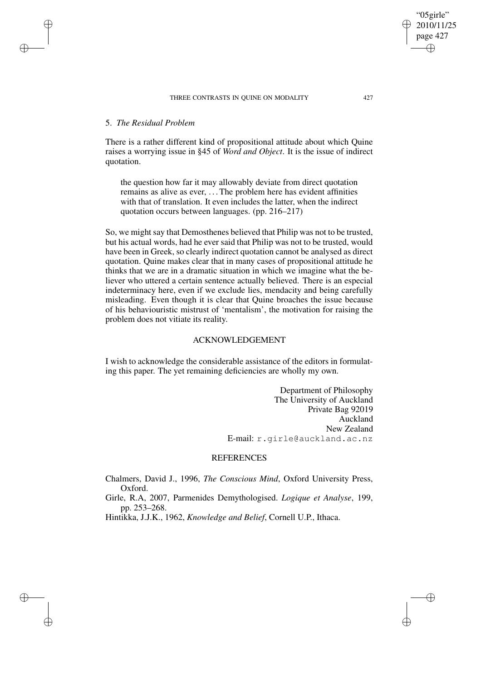### 5. *The Residual Problem*

✐

✐

✐

✐

There is a rather different kind of propositional attitude about which Quine raises a worrying issue in §45 of *Word and Object*. It is the issue of indirect quotation.

the question how far it may allowably deviate from direct quotation remains as alive as ever, . . .The problem here has evident affinities with that of translation. It even includes the latter, when the indirect quotation occurs between languages. (pp. 216–217)

So, we might say that Demosthenes believed that Philip was not to be trusted, but his actual words, had he ever said that Philip was not to be trusted, would have been in Greek, so clearly indirect quotation cannot be analysed as direct quotation. Quine makes clear that in many cases of propositional attitude he thinks that we are in a dramatic situation in which we imagine what the believer who uttered a certain sentence actually believed. There is an especial indeterminacy here, even if we exclude lies, mendacity and being carefully misleading. Even though it is clear that Quine broaches the issue because of his behaviouristic mistrust of 'mentalism', the motivation for raising the problem does not vitiate its reality.

# ACKNOWLEDGEMENT

I wish to acknowledge the considerable assistance of the editors in formulating this paper. The yet remaining deficiencies are wholly my own.

> Department of Philosophy The University of Auckland Private Bag 92019 Auckland New Zealand E-mail: r.girle@auckland.ac.nz

# REFERENCES

Chalmers, David J., 1996, *The Conscious Mind*, Oxford University Press, Oxford.

Girle, R.A, 2007, Parmenides Demythologised. *Logique et Analyse*, 199, pp. 253–268.

Hintikka, J.J.K., 1962, *Knowledge and Belief*, Cornell U.P., Ithaca.

"05girle" 2010/11/25 page 427

✐

✐

✐